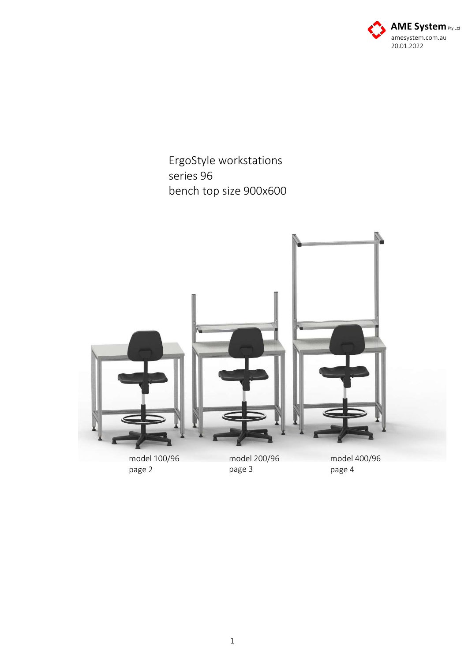

ErgoStyle workstations series 96 bench top size 900x600



page 2

page 3

page 4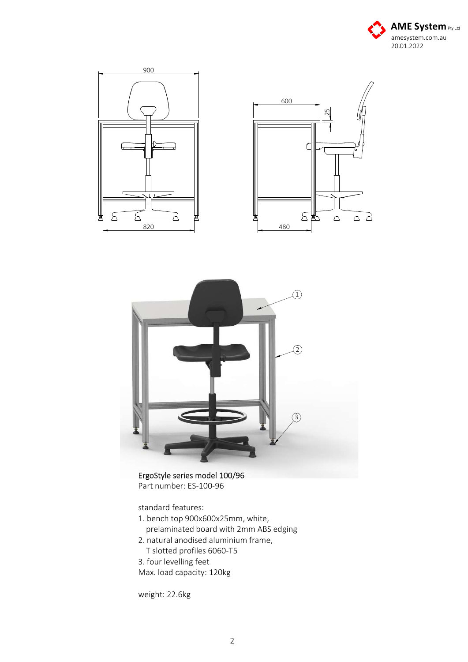





ErgoStyle series model 100/96 Part number: ES-100-96

standard features:

- 1. bench top 900x600x25mm, white,
	- prelaminated board with 2mm ABS edging
- 2. natural anodised aluminium frame, T slotted profiles 6060-T5

3. four levelling feet Max. load capacity: 120kg

weight: 22.6kg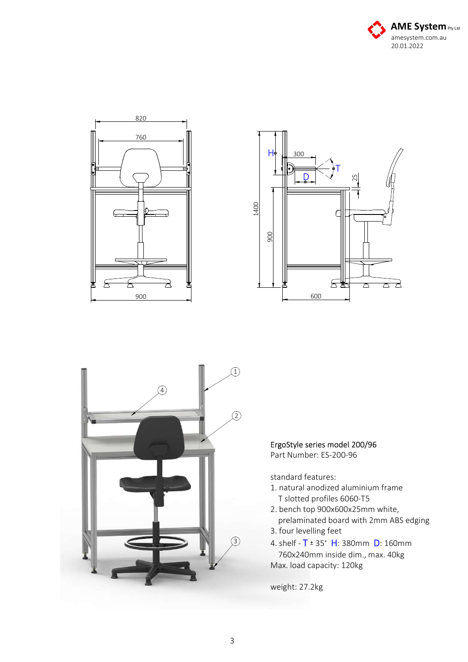







## ErgoStyle series model 200/96

Part Number: ES-200-96

standard features:

- 1. natural anodized aluminium frame T slotted profiles 6060-T5
- 2. bench top 900x600x25mm white, prelaminated board with 2mm ABS edging
- 3. four levelling feet
- 4. shelf  $T = 35°$  H: 380mm D: 160mm 760x240mm inside dim., max. 40kg Max. load capacity: 120kg

weight: 27.2kg